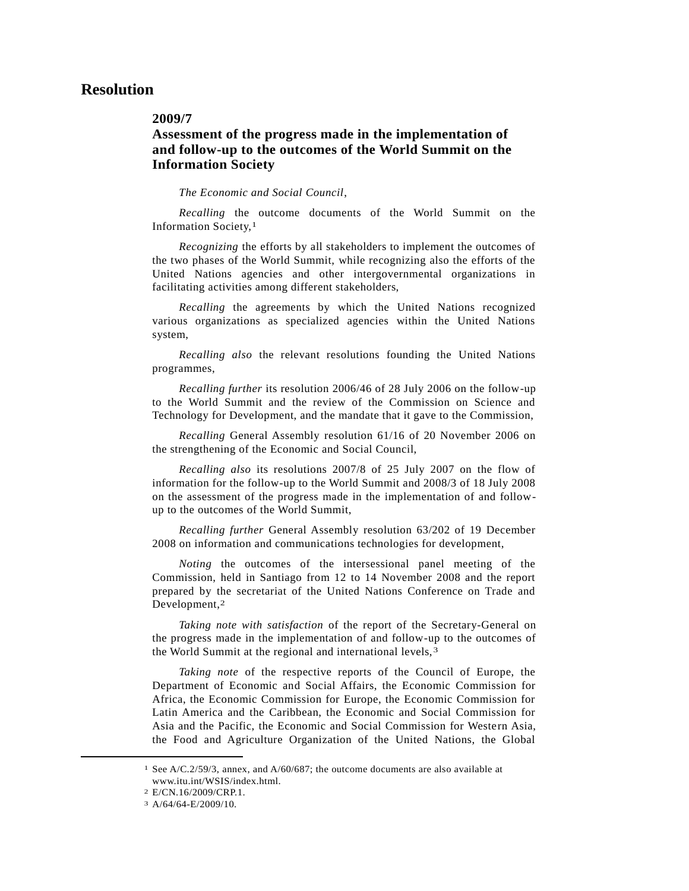# **Resolution**

## **2009/7**

## **Assessment of the progress made in the implementation of and follow-up to the outcomes of the World Summit on the Information Society**

*The Economic and Social Council*,

*Recalling* the outcome documents of the World Summit on the Information Society,1

*Recognizing* the efforts by all stakeholders to implement the outcomes of the two phases of the World Summit, while recognizing also the efforts of the United Nations agencies and other intergovernmental organizations in facilitating activities among different stakeholders,

*Recalling* the agreements by which the United Nations recognized various organizations as specialized agencies within the United Nations system,

*Recalling also* the relevant resolutions founding the United Nations programmes,

*Recalling further* its resolution 2006/46 of 28 July 2006 on the follow-up to the World Summit and the review of the Commission on Science and Technology for Development, and the mandate that it gave to the Commission,

*Recalling* General Assembly resolution 61/16 of 20 November 2006 on the strengthening of the Economic and Social Council,

*Recalling also* its resolutions 2007/8 of 25 July 2007 on the flow of information for the follow-up to the World Summit and 2008/3 of 18 July 2008 on the assessment of the progress made in the implementation of and followup to the outcomes of the World Summit,

*Recalling further* General Assembly resolution 63/202 of 19 December 2008 on information and communications technologies for development,

*Noting* the outcomes of the intersessional panel meeting of the Commission, held in Santiago from 12 to 14 November 2008 and the report prepared by the secretariat of the United Nations Conference on Trade and Development,2

*Taking note with satisfaction* of the report of the Secretary-General on the progress made in the implementation of and follow-up to the outcomes of the World Summit at the regional and international levels, 3

*Taking note* of the respective reports of the Council of Europe, the Department of Economic and Social Affairs, the Economic Commission for Africa, the Economic Commission for Europe, the Economic Commission for Latin America and the Caribbean, the Economic and Social Commission for Asia and the Pacific, the Economic and Social Commission for Western Asia, the Food and Agriculture Organization of the United Nations, the Global

l

<sup>1</sup> See A/C.2/59/3, annex, and A/60/687; the outcome documents are also available at www.itu.int/WSIS/index.html.

<sup>2</sup> E/CN.16/2009/CRP.1.

<sup>3</sup> A/64/64-E/2009/10.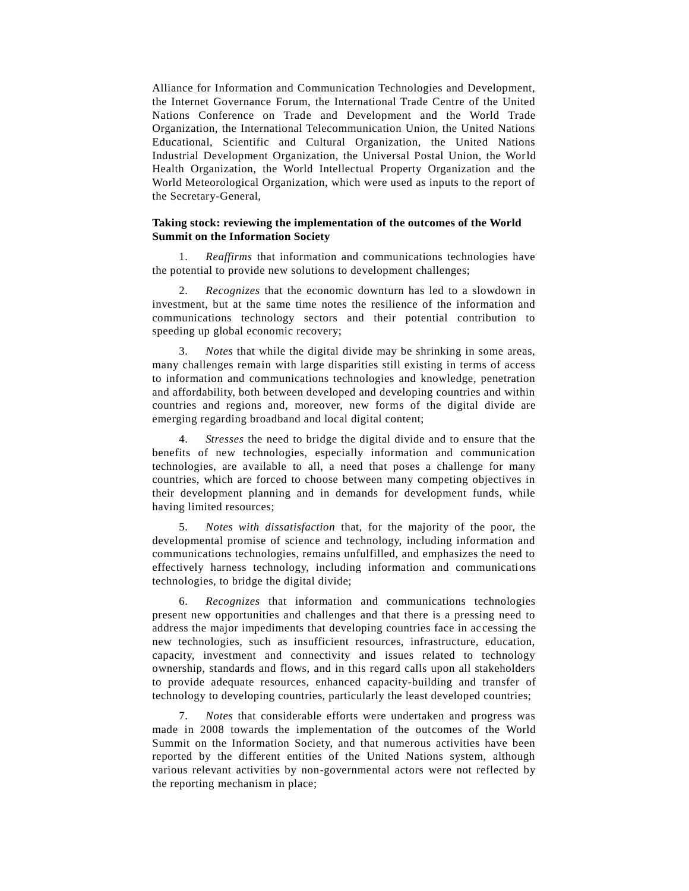Alliance for Information and Communication Technologies and Development, the Internet Governance Forum, the International Trade Centre of the United Nations Conference on Trade and Development and the World Trade Organization, the International Telecommunication Union, the United Nations Educational, Scientific and Cultural Organization, the United Nations Industrial Development Organization, the Universal Postal Union, the World Health Organization, the World Intellectual Property Organization and the World Meteorological Organization, which were used as inputs to the report of the Secretary-General,

## **Taking stock: reviewing the implementation of the outcomes of the World Summit on the Information Society**

*Reaffirms* that information and communications technologies have the potential to provide new solutions to development challenges;

2. *Recognizes* that the economic downturn has led to a slowdown in investment, but at the same time notes the resilience of the information and communications technology sectors and their potential contribution to speeding up global economic recovery;

3. *Notes* that while the digital divide may be shrinking in some areas, many challenges remain with large disparities still existing in terms of access to information and communications technologies and knowledge, penetration and affordability, both between developed and developing countries and within countries and regions and, moreover, new forms of the digital divide are emerging regarding broadband and local digital content;

4. *Stresses* the need to bridge the digital divide and to ensure that the benefits of new technologies, especially information and communication technologies, are available to all, a need that poses a challenge for many countries, which are forced to choose between many competing objectives in their development planning and in demands for development funds, while having limited resources;

5. *Notes with dissatisfaction* that, for the majority of the poor, the developmental promise of science and technology, including information and communications technologies, remains unfulfilled, and emphasizes the need to effectively harness technology, including information and communications technologies, to bridge the digital divide;

6. *Recognizes* that information and communications technologies present new opportunities and challenges and that there is a pressing need to address the major impediments that developing countries face in ac cessing the new technologies, such as insufficient resources, infrastructure, education, capacity, investment and connectivity and issues related to technology ownership, standards and flows, and in this regard calls upon all stakeholders to provide adequate resources, enhanced capacity-building and transfer of technology to developing countries, particularly the least developed countries;

7. *Notes* that considerable efforts were undertaken and progress was made in 2008 towards the implementation of the outcomes of the World Summit on the Information Society, and that numerous activities have been reported by the different entities of the United Nations system, although various relevant activities by non-governmental actors were not reflected by the reporting mechanism in place;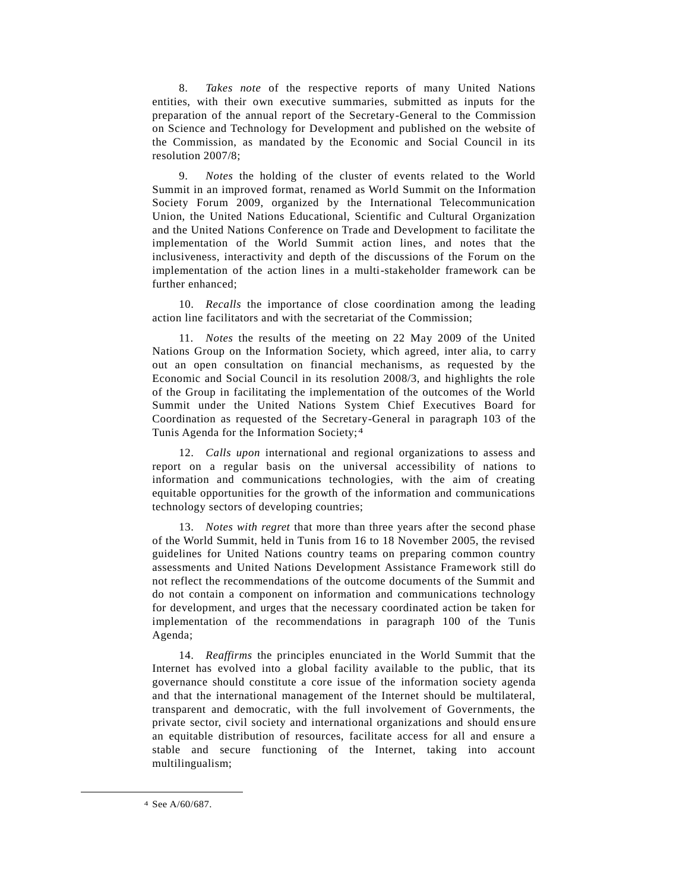8. *Takes note* of the respective reports of many United Nations entities, with their own executive summaries, submitted as inputs for the preparation of the annual report of the Secretary-General to the Commission on Science and Technology for Development and published on the website of the Commission, as mandated by the Economic and Social Council in its resolution 2007/8;

9. *Notes* the holding of the cluster of events related to the World Summit in an improved format, renamed as World Summit on the Information Society Forum 2009, organized by the International Telecommunication Union, the United Nations Educational, Scientific and Cultural Organization and the United Nations Conference on Trade and Development to facilitate the implementation of the World Summit action lines, and notes that the inclusiveness, interactivity and depth of the discussions of the Forum on the implementation of the action lines in a multi-stakeholder framework can be further enhanced;

10. *Recalls* the importance of close coordination among the leading action line facilitators and with the secretariat of the Commission;

11. *Notes* the results of the meeting on 22 May 2009 of the United Nations Group on the Information Society, which agreed, inter alia, to carry out an open consultation on financial mechanisms, as requested by the Economic and Social Council in its resolution 2008/3, and highlights the role of the Group in facilitating the implementation of the outcomes of the World Summit under the United Nations System Chief Executives Board for Coordination as requested of the Secretary-General in paragraph 103 of the Tunis Agenda for the Information Society; 4

12. *Calls upon* international and regional organizations to assess and report on a regular basis on the universal accessibility of nations to information and communications technologies, with the aim of creating equitable opportunities for the growth of the information and communications technology sectors of developing countries;

13. *Notes with regret* that more than three years after the second phase of the World Summit, held in Tunis from 16 to 18 November 2005, the revised guidelines for United Nations country teams on preparing common country assessments and United Nations Development Assistance Framework still do not reflect the recommendations of the outcome documents of the Summit and do not contain a component on information and communications technology for development, and urges that the necessary coordinated action be taken for implementation of the recommendations in paragraph 100 of the Tunis Agenda;

14. *Reaffirms* the principles enunciated in the World Summit that the Internet has evolved into a global facility available to the public, that its governance should constitute a core issue of the information society agenda and that the international management of the Internet should be multilateral, transparent and democratic, with the full involvement of Governments, the private sector, civil society and international organizations and should ensure an equitable distribution of resources, facilitate access for all and ensure a stable and secure functioning of the Internet, taking into account multilingualism;

 $\overline{\phantom{a}}$ 

<sup>4</sup> See A/60/687.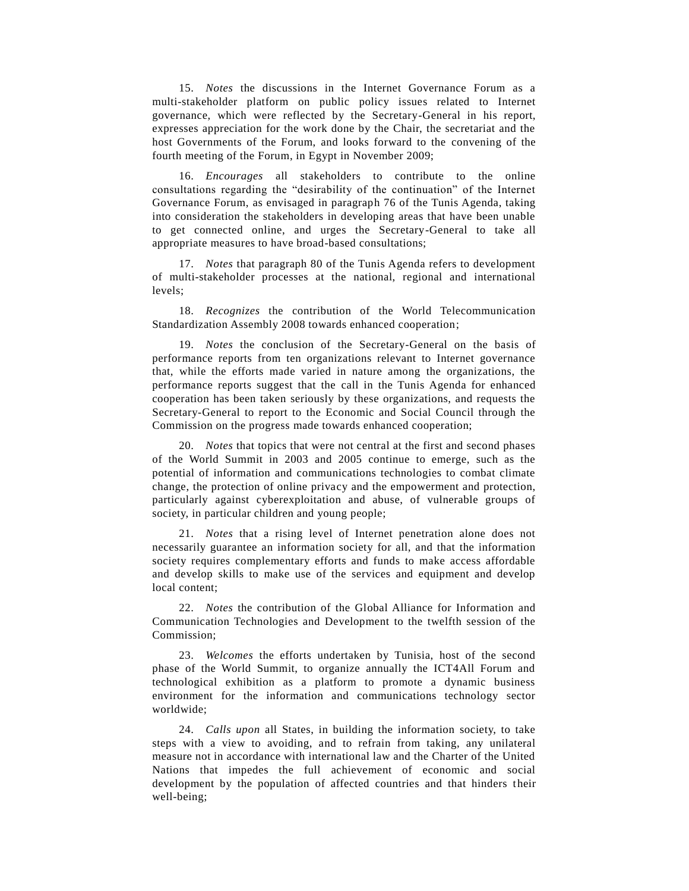15. *Notes* the discussions in the Internet Governance Forum as a multi-stakeholder platform on public policy issues related to Internet governance, which were reflected by the Secretary-General in his report, expresses appreciation for the work done by the Chair, the secretariat and the host Governments of the Forum, and looks forward to the convening of the fourth meeting of the Forum, in Egypt in November 2009;

16. *Encourages* all stakeholders to contribute to the online consultations regarding the "desirability of the continuation" of the Internet Governance Forum, as envisaged in paragraph 76 of the Tunis Agenda, taking into consideration the stakeholders in developing areas that have been unable to get connected online, and urges the Secretary-General to take all appropriate measures to have broad-based consultations;

17. *Notes* that paragraph 80 of the Tunis Agenda refers to development of multi-stakeholder processes at the national, regional and international levels;

18. *Recognizes* the contribution of the World Telecommunication Standardization Assembly 2008 towards enhanced cooperation;

19. *Notes* the conclusion of the Secretary-General on the basis of performance reports from ten organizations relevant to Internet governance that, while the efforts made varied in nature among the organizations, the performance reports suggest that the call in the Tunis Agenda for enhanced cooperation has been taken seriously by these organizations, and requests the Secretary-General to report to the Economic and Social Council through the Commission on the progress made towards enhanced cooperation;

20. *Notes* that topics that were not central at the first and second phases of the World Summit in 2003 and 2005 continue to emerge, such as the potential of information and communications technologies to combat climate change, the protection of online privacy and the empowerment and protection, particularly against cyberexploitation and abuse, of vulnerable groups of society, in particular children and young people;

21. *Notes* that a rising level of Internet penetration alone does not necessarily guarantee an information society for all, and that the information society requires complementary efforts and funds to make access affordable and develop skills to make use of the services and equipment and develop local content;

22. *Notes* the contribution of the Global Alliance for Information and Communication Technologies and Development to the twelfth session of the Commission;

23. *Welcomes* the efforts undertaken by Tunisia, host of the second phase of the World Summit, to organize annually the ICT4All Forum and technological exhibition as a platform to promote a dynamic business environment for the information and communications technology sector worldwide;

24. *Calls upon* all States, in building the information society, to take steps with a view to avoiding, and to refrain from taking, any unilateral measure not in accordance with international law and the Charter of the United Nations that impedes the full achievement of economic and social development by the population of affected countries and that hinders their well-being;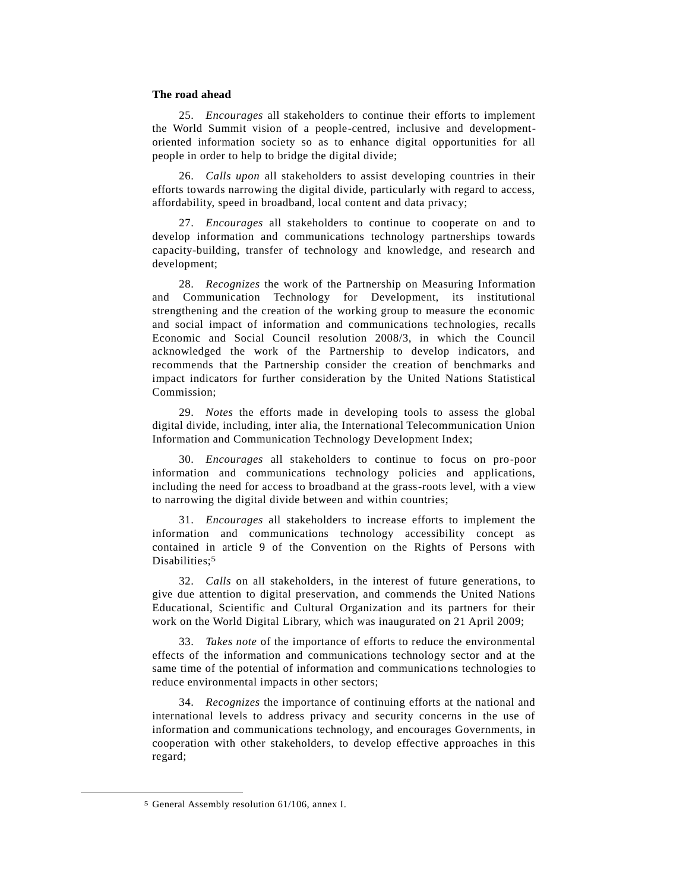#### **The road ahead**

25. *Encourages* all stakeholders to continue their efforts to implement the World Summit vision of a people-centred, inclusive and developmentoriented information society so as to enhance digital opportunities for all people in order to help to bridge the digital divide;

26. *Calls upon* all stakeholders to assist developing countries in their efforts towards narrowing the digital divide, particularly with regard to access, affordability, speed in broadband, local content and data privacy;

27. *Encourages* all stakeholders to continue to cooperate on and to develop information and communications technology partnerships towards capacity-building, transfer of technology and knowledge, and research and development;

28. *Recognizes* the work of the Partnership on Measuring Information and Communication Technology for Development, its institutional strengthening and the creation of the working group to measure the economic and social impact of information and communications technologies, recalls Economic and Social Council resolution 2008/3, in which the Council acknowledged the work of the Partnership to develop indicators, and recommends that the Partnership consider the creation of benchmarks and impact indicators for further consideration by the United Nations Statistical Commission;

29. *Notes* the efforts made in developing tools to assess the global digital divide, including, inter alia, the International Telecommunication Union Information and Communication Technology Development Index;

30. *Encourages* all stakeholders to continue to focus on pro-poor information and communications technology policies and applications, including the need for access to broadband at the grass-roots level, with a view to narrowing the digital divide between and within countries;

31. *Encourages* all stakeholders to increase efforts to implement the information and communications technology accessibility concept as contained in article 9 of the Convention on the Rights of Persons with Disabilities:<sup>5</sup>

32. *Calls* on all stakeholders, in the interest of future generations, to give due attention to digital preservation, and commends the United Nations Educational, Scientific and Cultural Organization and its partners for their work on the World Digital Library, which was inaugurated on 21 April 2009;

33. *Takes note* of the importance of efforts to reduce the environmental effects of the information and communications technology sector and at the same time of the potential of information and communications technologies to reduce environmental impacts in other sectors;

34. *Recognizes* the importance of continuing efforts at the national and international levels to address privacy and security concerns in the use of information and communications technology, and encourages Governments, in cooperation with other stakeholders, to develop effective approaches in this regard;

 $\overline{\phantom{a}}$ 

<sup>5</sup> General Assembly resolution 61/106, annex I.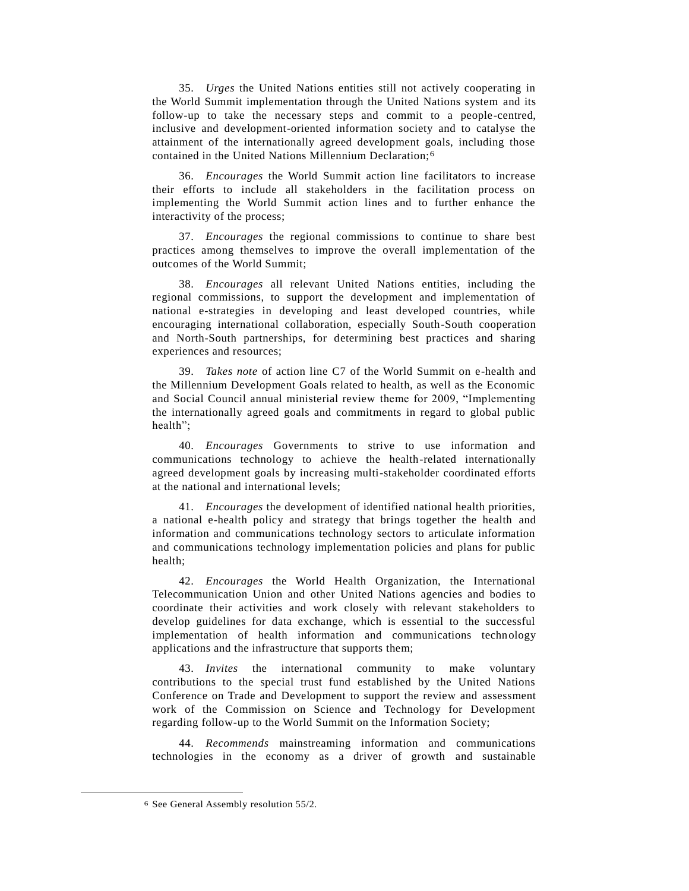35. *Urges* the United Nations entities still not actively cooperating in the World Summit implementation through the United Nations system and its follow-up to take the necessary steps and commit to a people-centred, inclusive and development-oriented information society and to catalyse the attainment of the internationally agreed development goals, including those contained in the United Nations Millennium Declaration;6

36. *Encourages* the World Summit action line facilitators to increase their efforts to include all stakeholders in the facilitation process on implementing the World Summit action lines and to further enhance the interactivity of the process;

37. *Encourages* the regional commissions to continue to share best practices among themselves to improve the overall implementation of the outcomes of the World Summit;

38. *Encourages* all relevant United Nations entities, including the regional commissions, to support the development and implementation of national e-strategies in developing and least developed countries, while encouraging international collaboration, especially South-South cooperation and North-South partnerships, for determining best practices and sharing experiences and resources;

39. *Takes note* of action line C7 of the World Summit on e-health and the Millennium Development Goals related to health, as well as the Economic and Social Council annual ministerial review theme for 2009, "Implementing the internationally agreed goals and commitments in regard to global public health";

40. *Encourages* Governments to strive to use information and communications technology to achieve the health-related internationally agreed development goals by increasing multi-stakeholder coordinated efforts at the national and international levels;

41. *Encourages* the development of identified national health priorities, a national e-health policy and strategy that brings together the health and information and communications technology sectors to articulate information and communications technology implementation policies and plans for public health;

42. *Encourages* the World Health Organization, the International Telecommunication Union and other United Nations agencies and bodies to coordinate their activities and work closely with relevant stakeholders to develop guidelines for data exchange, which is essential to the successful implementation of health information and communications technology applications and the infrastructure that supports them;

43. *Invites* the international community to make voluntary contributions to the special trust fund established by the United Nations Conference on Trade and Development to support the review and assessment work of the Commission on Science and Technology for Development regarding follow-up to the World Summit on the Information Society;

44. *Recommends* mainstreaming information and communications technologies in the economy as a driver of growth and sustainable

 $\overline{\phantom{a}}$ 

<sup>6</sup> See General Assembly resolution 55/2.